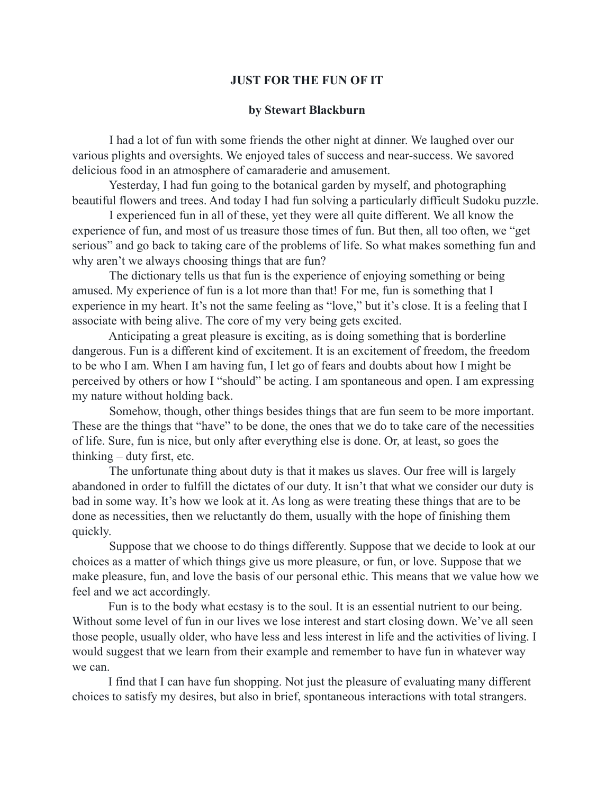## **JUST FOR THE FUN OF IT**

## **by Stewart Blackburn**

 I had a lot of fun with some friends the other night at dinner. We laughed over our various plights and oversights. We enjoyed tales of success and near-success. We savored delicious food in an atmosphere of camaraderie and amusement.

 Yesterday, I had fun going to the botanical garden by myself, and photographing beautiful flowers and trees. And today I had fun solving a particularly difficult Sudoku puzzle.

 I experienced fun in all of these, yet they were all quite different. We all know the experience of fun, and most of us treasure those times of fun. But then, all too often, we "get serious" and go back to taking care of the problems of life. So what makes something fun and why aren't we always choosing things that are fun?

 The dictionary tells us that fun is the experience of enjoying something or being amused. My experience of fun is a lot more than that! For me, fun is something that I experience in my heart. It's not the same feeling as "love," but it's close. It is a feeling that I associate with being alive. The core of my very being gets excited.

 Anticipating a great pleasure is exciting, as is doing something that is borderline dangerous. Fun is a different kind of excitement. It is an excitement of freedom, the freedom to be who I am. When I am having fun, I let go of fears and doubts about how I might be perceived by others or how I "should" be acting. I am spontaneous and open. I am expressing my nature without holding back.

 Somehow, though, other things besides things that are fun seem to be more important. These are the things that "have" to be done, the ones that we do to take care of the necessities of life. Sure, fun is nice, but only after everything else is done. Or, at least, so goes the thinking – duty first, etc.

 The unfortunate thing about duty is that it makes us slaves. Our free will is largely abandoned in order to fulfill the dictates of our duty. It isn't that what we consider our duty is bad in some way. It's how we look at it. As long as were treating these things that are to be done as necessities, then we reluctantly do them, usually with the hope of finishing them quickly.

 Suppose that we choose to do things differently. Suppose that we decide to look at our choices as a matter of which things give us more pleasure, or fun, or love. Suppose that we make pleasure, fun, and love the basis of our personal ethic. This means that we value how we feel and we act accordingly.

Fun is to the body what ecstasy is to the soul. It is an essential nutrient to our being. Without some level of fun in our lives we lose interest and start closing down. We've all seen those people, usually older, who have less and less interest in life and the activities of living. I would suggest that we learn from their example and remember to have fun in whatever way we can.

I find that I can have fun shopping. Not just the pleasure of evaluating many different choices to satisfy my desires, but also in brief, spontaneous interactions with total strangers.